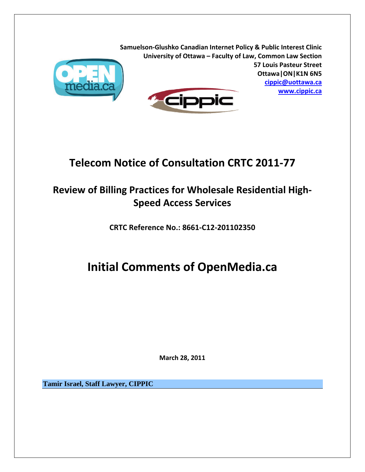

**Samuelson‐Glushko Canadian Internet Policy & Public Interest Clinic University of Ottawa – Faculty of Law, Common Law Section 57 Louis Pasteur Street Ottawa|ON|K1N 6N5 cippic@uottawa.ca www.cippic.ca ippic** 

# **Telecom Notice of Consultation CRTC 2011‐77**

# **Review of Billing Practices for Wholesale Residential High‐ Speed Access Services**

**CRTC Reference No.: 8661‐C12‐201102350**

# **Initial Comments of OpenMedia.ca**

**March 28, 2011**

**Tamir Israel, Staff Lawyer, CIPPIC**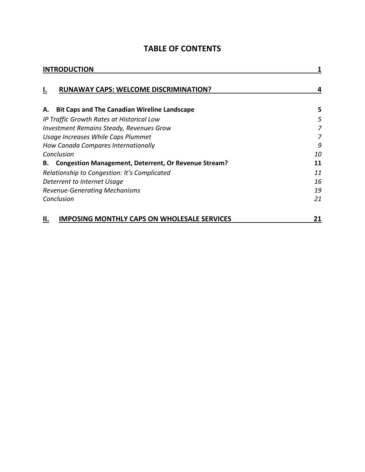| <b>INTRODUCTION</b>                                               |    |  |
|-------------------------------------------------------------------|----|--|
| <b>RUNAWAY CAPS: WELCOME DISCRIMINATION?</b><br>Ι.                |    |  |
| <b>Bit Caps and The Canadian Wireline Landscape</b><br>А.         | 5  |  |
| IP Traffic Growth Rates at Historical Low                         | 5  |  |
| <b>Investment Remains Steady, Revenues Grow</b>                   | 7  |  |
| Usage Increases While Caps Plummet                                | 7  |  |
| How Canada Compares Internationally                               | 9  |  |
| Conclusion                                                        | 10 |  |
| <b>Congestion Management, Deterrent, Or Revenue Stream?</b><br>В. | 11 |  |
| Relationship to Congestion: It's Complicated                      | 11 |  |
| Deterrent to Internet Usage                                       | 16 |  |
| <b>Revenue-Generating Mechanisms</b>                              | 19 |  |
| Conclusion                                                        | 21 |  |
| IMPOSING MONTHLY CAPS ON WHOLESALE SERVICES<br>Ш.                 | 21 |  |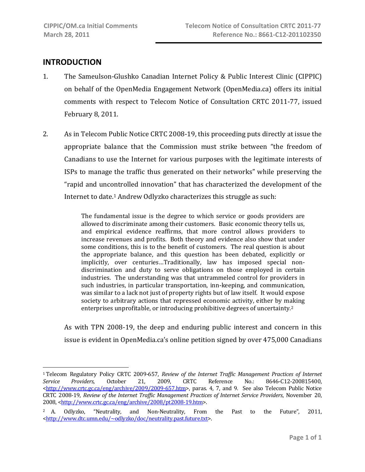# **INTRODUCTION**

 $\overline{a}$ 

- 1. The Sameulson‐Glushko Canadian Internet Policy & Public Interest Clinic (CIPPIC) on behalf of the OpenMedia Engagement Network (OpenMedia.ca) offers its initial comments with respect to Telecom Notice of Consultation CRTC 2011‐77, issued February 8, 2011.
- 2. As in Telecom Public Notice CRTC 2008‐19, this proceeding puts directly at issue the appropriate balance that the Commission must strike between "the freedom of Canadians to use the Internet for various purposes with the legitimate interests of ISPs to manage the traffic thus generated on their networks" while preserving the "rapid and uncontrolled innovation" that has characterized the development of the Internet to date.<sup>1</sup> Andrew Odlyzko characterizes this struggle as such:

The fundamental issue is the degree to which service or goods providers are allowed to discriminate among their customers. Basic economic theory tells us, and empirical evidence reaffirms, that more control allows providers to increase revenues and profits. Both theory and evidence also show that under some conditions, this is to the benefit of customers. The real question is about the appropriate balance, and this question has been debated, explicitly or implicitly, over centuries...Traditionally, law has imposed special nondiscrimination and duty to serve obligations on those employed in certain industries. The understanding was that untrammeled control for providers in such industries, in particular transportation, inn-keeping, and communication, was similar to a lack not just of property rights but of law itself. It would expose society to arbitrary actions that repressed economic activity, either by making enterprises unprofitable, or introducing prohibitive degrees of uncertainty.2

As with TPN 2008‐19, the deep and enduring public interest and concern in this issue is evident in OpenMedia.ca's online petition signed by over 475,000 Canadians

<sup>1</sup> Telecom Regulatory Policy CRTC 2009‐657, *Review of the Internet Traffic Management Practices of Internet Service Providers*, October 21, 2009, CRTC Reference No.: 8646‐C12‐200815400,  $\text{thtn:}/\text{/www.crtc.gc.ca/eng/archive/2009/2009-657.htm}$ , paras. 4, 7, and 9. See also Telecom Public Notice CRTC 2008‐19, *Review of the Internet Traffic Management Practices of Internet Service Providers*, November 20, 2008, <http://www.crtc.gc.ca/eng/archive/2008/pt2008-19.htm>.

<sup>2</sup> A. Odlyzko, "Neutrality, and Non‐Neutrality, From the Past to the Future", 2011, <http://www.dtc.umn.edu/~odlyzko/doc/neutrality.past.future.txt>.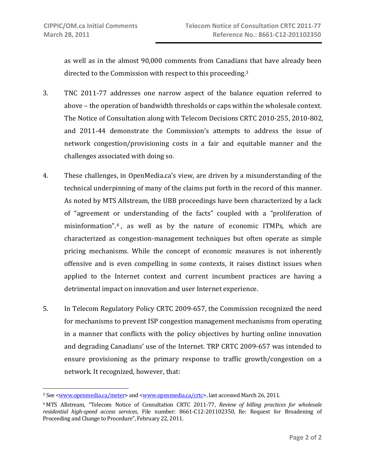1

as well as in the almost 90,000 comments from Canadians that have already been directed to the Commission with respect to this proceeding.3

- 3. TNC 2011‐77 addresses one narrow aspect of the balance equation referred to above – the operation of bandwidth thresholds or caps within the wholesale context. The Notice of Consultation along with Telecom Decisions CRTC 2010‐255, 2010‐802, and 2011‐44 demonstrate the Commission's attempts to address the issue of network congestion/provisioning costs in a fair and equitable manner and the challenges associated with doing so.
- 4. These challenges, in OpenMedia.ca's view, are driven by a misunderstanding of the technical underpinning of many of the claims put forth in the record of this manner. As noted by MTS Allstream, the UBB proceedings have been characterized by a lack of "agreement or understanding of the facts" coupled with a "proliferation of misinformation".4 , as well as by the nature of economic ITMPs, which are characterized as congestion‐management techniques but often operate as simple pricing mechanisms. While the concept of economic measures is not inherently offensive and is even compelling in some contexts, it raises distinct issues when applied to the Internet context and current incumbent practices are having a detrimental impact on innovation and user Internet experience.
- 5. In Telecom Regulatory Policy CRTC 2009‐657, the Commission recognized the need for mechanisms to prevent ISP congestion management mechanisms from operating in a manner that conflicts with the policy objectives by hurting online innovation and degrading Canadians' use of the Internet. TRP CRTC 2009‐657 was intended to ensure provisioning as the primary response to traffic growth/congestion on a network. It recognized, however, that:

<sup>3</sup> See <www.openmedia.ca/meter> and <www.openmedia.ca/crtc>, last accessed March 26, 2011.

<sup>4</sup> MTS Allstream, "Telecom Notice of Consultation CRTC 2011‐77, *Review of billing practices for wholesale residential highspeed access services*, File number: 8661‐C12‐201102350, Re: Request for Broadening of Proceeding and Change to Procedure", February 22, 2011.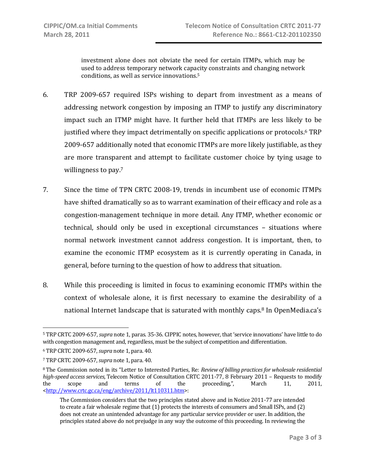investment alone does not obviate the need for certain ITMPs, which may be used to address temporary network capacity constraints and changing network conditions, as well as service innovations.5

- 6. TRP 2009‐657 required ISPs wishing to depart from investment as a means of addressing network congestion by imposing an ITMP to justify any discriminatory impact such an ITMP might have. It further held that ITMPs are less likely to be justified where they impact detrimentally on specific applications or protocols.<sup>6</sup> TRP 2009‐657 additionally noted that economic ITMPs are more likely justifiable, as they are more transparent and attempt to facilitate customer choice by tying usage to willingness to pay.<sup>7</sup>
- 7. Since the time of TPN CRTC 2008‐19, trends in incumbent use of economic ITMPs have shifted dramatically so as to warrant examination of their efficacy and role as a congestion‐management technique in more detail. Any ITMP, whether economic or technical, should only be used in exceptional circumstances – situations where normal network investment cannot address congestion. It is important, then, to examine the economic ITMP ecosystem as it is currently operating in Canada, in general, before turning to the question of how to address that situation.
- 8. While this proceeding is limited in focus to examining economic ITMPs within the context of wholesale alone, it is first necessary to examine the desirability of a national Internet landscape that is saturated with monthly caps. 8 In OpenMedia.ca's

 $\overline{a}$ 5 TRP CRTC 2009‐657, *supra* note 1, paras. 35‐36. CIPPIC notes, however, that 'service innovations' have little to do with congestion management and, regardless, must be the subject of competition and differentiation.

<sup>6</sup> TRP CRTC 2009‐657, *supra* note 1, para. 40.

<sup>7</sup> TRP CRTC 2009‐657, *supra* note 1, para. 40.

<sup>8</sup> The Commission noted in its "Letter to Interested Parties, Re: *Review of billing practicesfor wholesale residential highspeed access services,* Telecom Notice of Consultation CRTC 2011‐77, 8 February 2011 – Requests to modify the scope and terms of the proceeding,", March 11, 2011, <http://www.crtc.gc.ca/eng/archive/2011/lt110311.htm>:

The Commission considers that the two principles stated above and in Notice 2011‐77 are intended to create a fair wholesale regime that (1) protects the interests of consumers and Small ISPs, and (2) does not create an unintended advantage for any particular service provider or user. In addition, the principles stated above do not prejudge in any way the outcome of this proceeding. In reviewing the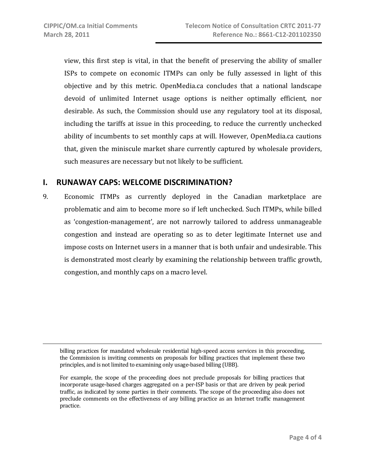view, this first step is vital, in that the benefit of preserving the ability of smaller ISPs to compete on economic ITMPs can only be fully assessed in light of this objective and by this metric. OpenMedia.ca concludes that a national landscape devoid of unlimited Internet usage options is neither optimally efficient, nor desirable. As such, the Commission should use any regulatory tool at its disposal, including the tariffs at issue in this proceeding, to reduce the currently unchecked ability of incumbents to set monthly caps at will. However, OpenMedia.ca cautions that, given the miniscule market share currently captured by wholesale providers, such measures are necessary but not likely to be sufficient.

# **I. RUNAWAY CAPS: WELCOME DISCRIMINATION?**

9. Economic ITMPs as currently deployed in the Canadian marketplace are problematic and aim to become more so if left unchecked. Such ITMPs, while billed as 'congestion‐management', are not narrowly tailored to address unmanageable congestion and instead are operating so as to deter legitimate Internet use and impose costs on Internet users in a manner that is both unfair and undesirable. This is demonstrated most clearly by examining the relationship between traffic growth, congestion, and monthly caps on a macro level.

billing practices for mandated wholesale residential high-speed access services in this proceeding, the Commission is inviting comments on proposals for billing practices that implement these two principles, and is not limited to examining only usage‐based billing (UBB).

For example, the scope of the proceeding does not preclude proposals for billing practices that incorporate usage‐based charges aggregated on a per‐ISP basis or that are driven by peak period traffic, as indicated by some parties in their comments. The scope of the proceeding also does not preclude comments on the effectiveness of any billing practice as an Internet traffic management practice.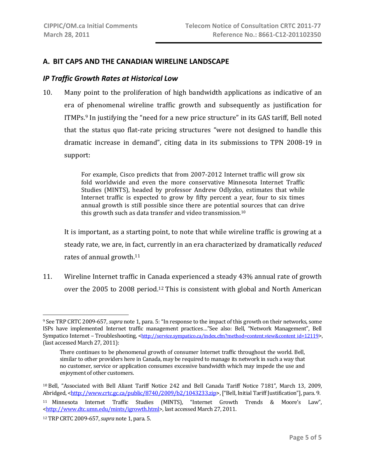#### **A. BIT CAPS AND THE CANADIAN WIRELINE LANDSCAPE**

#### *IP Traffic Growth Rates at Historical Low*

10. Many point to the proliferation of high bandwidth applications as indicative of an era of phenomenal wireline traffic growth and subsequently as justification for ITMPs.9 In justifying the "need for a new price structure" in its GAS tariff, Bell noted that the status quo flat-rate pricing structures "were not designed to handle this dramatic increase in demand", citing data in its submissions to TPN 2008‐19 in support:

> For example, Cisco predicts that from 2007-2012 Internet traffic will grow six fold worldwide and even the more conservative Minnesota Internet Traffic Studies (MINTS), headed by professor Andrew Odlyzko, estimates that while Internet traffic is expected to grow by fifty percent a year, four to six times annual growth is still possible since there are potential sources that can drive this growth such as data transfer and video transmission. $10$

It is important, as a starting point, to note that while wireline traffic is growing at a steady rate, we are, in fact, currently in an era characterized by dramatically *reduced* rates of annual growth.<sup>11</sup>

11. Wireline Internet traffic in Canada experienced a steady 43% annual rate of growth over the 2005 to 2008 period.12 This is consistent with global and North American

1

<sup>9</sup> See TRP CRTC 2009‐657, *supra* note 1, para. 5: "In response to the impact of this growth on their networks, some ISPs have implemented Internet traffic management practices…"See also: Bell, "Network Management", Bell Sympatico Internet – Troubleshooting, <http://service.sympatico.ca/index.cfm?method=content.view&content\_id=12119>, (last accessed March 27, 2011):

There continues to be phenomenal growth of consumer Internet traffic throughout the world. Bell, similar to other providers here in Canada, may be required to manage its network in such a way that no customer, service or application consumes excessive bandwidth which may impede the use and enjoyment of other customers.

<sup>10</sup> Bell, "Associated with Bell Aliant Tariff Notice 242 and Bell Canada Tariff Notice 7181", March 13, 2009, Abridged, <http://www.crtc.gc.ca/public/8740/2009/b2/1043233.zip>, ["Bell, Initial Tariff Justification"], para. 9.

<sup>11</sup> Minnesota Internet Traffic Studies (MINTS), "Internet Growth Trends & Moore's Law", <http://www.dtc.umn.edu/mints/igrowth.html>, last accessed March 27, 2011.

<sup>12</sup> TRP CRTC 2009‐657, *supra* note 1, para. 5.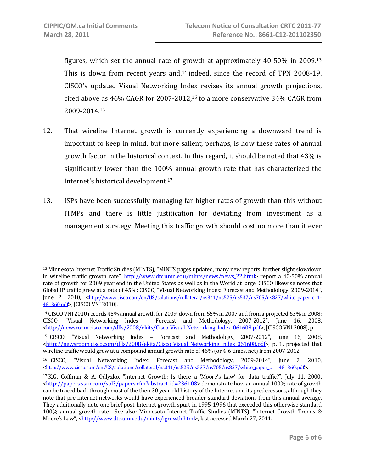figures, which set the annual rate of growth at approximately  $40-50\%$  in  $2009^{13}$ This is down from recent vears and, $14$  indeed, since the record of TPN 2008-19, CISCO's updated Visual Networking Index revises its annual growth projections, cited above as 46% CAGR for 2007‐2012,15 to a more conservative 34% CAGR from 2009‐2014.16

- 12. That wireline Internet growth is currently experiencing a downward trend is important to keep in mind, but more salient, perhaps, is how these rates of annual growth factor in the historical context. In this regard, it should be noted that 43% is significantly lower than the 100% annual growth rate that has characterized the Internet's historical development.17
- 13. ISPs have been successfully managing far higher rates of growth than this without ITMPs and there is little justification for deviating from investment as a management strategy. Meeting this traffic growth should cost no more than it ever

<sup>13</sup> Minnesota Internet Traffic Studies (MINTS), "MINTS pages updated, many new reports, further slight slowdown in wireline traffic growth rate", http://www.dtc.umn.edu/mints/news/news 22.html> report a 40-50% annual rate of growth for 2009 year end in the United States as well as in the World at large. CISCO likewise notes that Global IP traffic grew at a rate of 45%: CISCO, "Visual Networking Index: Forecast and Methodology, 2009‐2014", June 2, 2010, <http://www.cisco.com/en/US/solutions/collateral/ns341/ns525/ns537/ns705/ns827/white paper c11-481360.pdf>, [CISCO VNI 2010].

<sup>14</sup> CISCO VNI 2010 records 45% annual growth for 2009, down from 55% in 2007 and from a projected 63% in 2008: CISCO, "Visual Networking Index – Forecast and Methodology, 2007‐2012", June 16, 2008, <http://newsroom.cisco.com/dlls/2008/ekits/Cisco\_Visual\_Networking\_Index\_061608.pdf>, [CISCO VNI 2008], p. 1,

<sup>15</sup> CISCO, "Visual Networking Index – Forecast and Methodology, 2007‐2012", June 16, 2008, <http://newsroom.cisco.com/dlls/2008/ekits/Cisco\_Visual\_Networking\_Index\_061608.pdf>, p. 1, projected that wireline traffic would grow at a compound annual growth rate of 46% (or 4-6 times, net) from 2007-2012.

<sup>16</sup> CISCO, "Visual Networking Index: Forecast and Methodology, 2009‐2014", June 2, 2010, <http://www.cisco.com/en/US/solutions/collateral/ns341/ns525/ns537/ns705/ns827/white\_paper\_c11-481360.pdf>.

<sup>17</sup> K.G. Coffman & A. Odlyzko, "Internet Growth: Is there a 'Moore's Law' for data traffic?", July 11, 2000, <http://papers.ssrn.com/sol3/papers.cfm?abstract\_id=236108> demonstrate how an annual 100% rate of growth can be traced back through most of the then 30 year old history of the Internet and its predecessors, although they note that pre‐Internet networks would have experienced broader standard deviations from this annual average. They additionally note one brief post‐Internet growth spurt in 1995‐1996 that exceeded this otherwise standard 100% annual growth rate. See also: Minnesota Internet Traffic Studies (MINTS), "Internet Growth Trends & Moore's Law", <http://www.dtc.umn.edu/mints/igrowth.html>, last accessed March 27, 2011.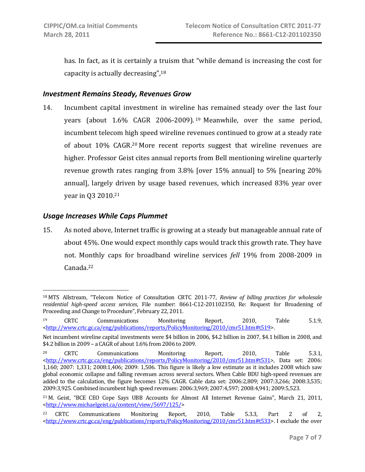has. In fact, as it is certainly a truism that "while demand is increasing the cost for capacity is actually decreasing",18

#### *Investment Remains Steady, Revenues Grow*

14. Incumbent capital investment in wireline has remained steady over the last four years (about 1.6% CAGR 2006‐2009). <sup>19</sup> Meanwhile, over the same period, incumbent telecom high speed wireline revenues continued to grow at a steady rate of about 10% CAGR.20 More recent reports suggest that wireline revenues are higher. Professor Geist cites annual reports from Bell mentioning wireline quarterly revenue growth rates ranging from  $3.8\%$  [over  $15\%$  annual] to  $5\%$  [nearing  $20\%$ annual], largely driven by usage based revenues, which increased 83% year over year in Q3 2010.21

#### *Usage Increases While Caps Plummet*

 $\overline{a}$ 

15. As noted above, Internet traffic is growing at a steady but manageable annual rate of about 45%. One would expect monthly caps would track this growth rate. They have not. Monthly caps for broadband wireline services *fell* 19% from 2008‐2009 in Canada.22

<sup>18</sup> MTS Allstream, "Telecom Notice of Consultation CRTC 2011‐77, *Review of billing practices for wholesale residential highspeed access services*, File number: 8661‐C12‐201102350, Re: Request for Broadening of Proceeding and Change to Procedure", February 22, 2011.

<sup>19</sup> CRTC Communications Monitoring Report, 2010, Table 5.1.9, <http://www.crtc.gc.ca/eng/publications/reports/PolicyMonitoring/2010/cmr51.htm#t519>.

Net incumbent wireline capital investments were \$4 billion in 2006, \$4.2 billion in 2007, \$4.1 billion in 2008, and \$4.2 billion in 2009 – a CAGR of about 1.6% from 2006 to 2009.

<sup>20</sup> CRTC Communications Monitoring Report, 2010, Table 5.3.1, <http://www.crtc.gc.ca/eng/publications/reports/PolicyMonitoring/2010/cmr51.htm#t531>, Data set: 2006: 1,160; 2007: 1,331; 2008:1,406; 2009: 1,506. This figure is likely a low estimate as it includes 2008 which saw global economic collapse and falling revenues across several sectors. When Cable BDU high‐speed revenues are added to the calculation, the figure becomes 12% CAGR. Cable data set: 2006:2,809; 2007:3,266; 2008:3,535; 2009:3,925. Combined incumbent high speed revenues: 2006:3,969; 2007:4,597; 2008:4,941; 2009:5,523.

<sup>21</sup> M. Geist, "BCE CEO Cope Says UBB Accounts for Almost All Internet Revenue Gains", March 21, 2011, <http://www.michaelgeist.ca/content/view/5697/125/>

<sup>22</sup> CRTC Communications Monitoring Report, 2010, Table 5.3.3, Part 2 of 2,  $\frac{\text{th}}{\text{t}}/$ /www.crtc.gc.ca/eng/publications/reports/PolicyMonitoring/2010/cmr51.htm#t533>. I exclude the over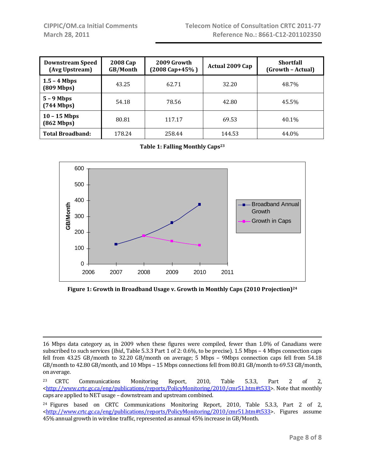| <b>Downstream Speed</b><br>(Avg Upstream) | 2008 Cap<br>GB/Month | 2009 Growth<br>$(2008 \text{ Cap} + 45\%)$ | Actual 2009 Cap | <b>Shortfall</b><br>(Growth - Actual) |
|-------------------------------------------|----------------------|--------------------------------------------|-----------------|---------------------------------------|
| $1.5 - 4$ Mbps<br>$(809 \text{ Mbps})$    | 43.25                | 62.71                                      | 32.20           | 48.7%                                 |
| $5 - 9$ Mbps<br>$(744 \text{ Mbps})$      | 54.18                | 78.56                                      | 42.80           | 45.5%                                 |
| $10 - 15$ Mbps<br>$(862 \text{ Mbps})$    | 80.81                | 117.17                                     | 69.53           | 40.1%                                 |
| <b>Total Broadband:</b>                   | 178.24               | 258.44                                     | 144.53          | 44.0%                                 |

**Table 1: Falling Monthly Caps23** 



**Figure 1: Growth in Broadband Usage v. Growth in Monthly Caps (2010 Projection)24**

 $\overline{a}$ 16 Mbps data category as, in 2009 when these figures were compiled, fewer than 1.0% of Canadians were subscribed to such services (*Ibid*., Table 5.3.3 Part 1 of 2: 0.6%, to be precise). 1.5 Mbps – 4 Mbps connection caps fell from 43.25 GB/month to 32.20 GB/month on average; 5 Mbps - 9Mbps connection caps fell from 54.18 GB/month to 42.80 GB/month, and 10 Mbps – 15 Mbps connections fell from 80.81 GB/month to 69.53 GB/month, on average.

<sup>23</sup> CRTC Communications Monitoring Report, 2010, Table 5.3.3, Part 2 of 2,  $\text{thtn:}/\text{/www.crte.gc.ca/eng/publications/reports/PolicyMonitoring/2010/cmr51.htm#t533&gt. Note that monthly$ caps are applied to NET usage – downstream and upstream combined.

<sup>&</sup>lt;sup>24</sup> Figures based on CRTC Communications Monitoring Report, 2010, Table 5.3.3, Part 2 of 2, <http://www.crtc.gc.ca/eng/publications/reports/PolicyMonitoring/2010/cmr51.htm#t533>. Figures assume 45% annual growth in wireline traffic, represented as annual 45% increase in GB/Month.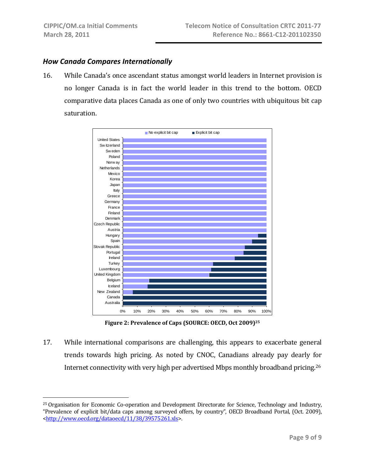1

#### *How Canada Compares Internationally*

16. While Canada's once ascendant status amongst world leaders in Internet provision is no longer Canada is in fact the world leader in this trend to the bottom. OECD comparative data places Canada as one of only two countries with ubiquitous bit cap saturation.



**Figure 2: Prevalence of Caps (SOURCE: OECD, Oct 2009)25**

17. While international comparisons are challenging, this appears to exacerbate general trends towards high pricing. As noted by CNOC, Canadians already pay dearly for Internet connectivity with very high per advertised Mbps monthly broadband pricing.26

<sup>&</sup>lt;sup>25</sup> Organisation for Economic Co-operation and Development Directorate for Science, Technology and Industry, "Prevalence of explicit bit/data caps among surveyed offers, by country", OECD Broadband Portal, (Oct. 2009), <http://www.oecd.org/dataoecd/11/38/39575261.xls>.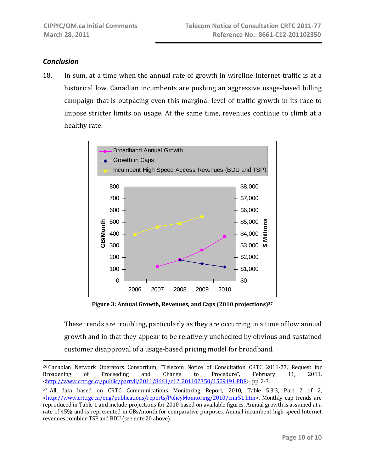### *Conclusion*

 $\overline{a}$ 

18. In sum, at a time when the annual rate of growth in wireline Internet traffic is at a historical low, Canadian incumbents are pushing an aggressive usage‐based billing campaign that is outpacing even this marginal level of traffic growth in its race to impose stricter limits on usage. At the same time, revenues continue to climb at a healthy rate:



**Figure 3: Annual Growth, Revenues, and Caps (2010 projections)27** 

These trends are troubling, particularly as they are occurring in a time of low annual growth and in that they appear to be relatively unchecked by obvious and sustained customer disapproval of a usage‐based pricing model for broadband.

<sup>26</sup> Canadian Network Operators Consortium, "Telecom Notice of Consultation CRTC 2011‐77, Request for Broadening of Proceeding and Change to Procedure", February 11, 2011, <http://www.crtc.gc.ca/public/partvii/2011/8661/c12\_201102350/1509191.PDF>, pp. 2-3.

<sup>&</sup>lt;sup>27</sup> All data based on CRTC Communications Monitoring Report, 2010, Table 5.3.3, Part 2 of 2, <http://www.crtc.gc.ca/eng/publications/reports/PolicyMonitoring/2010/cmr51.htm>. Monthly cap trends are reproduced in Table 1 and include projections for 2010 based on available figures. Annual growth is assumed at a rate of 45% and is represented in GBs/month for comparative purposes. Annual incumbent high-speed Internet revenues combine TSP and BDU (see note 20 above).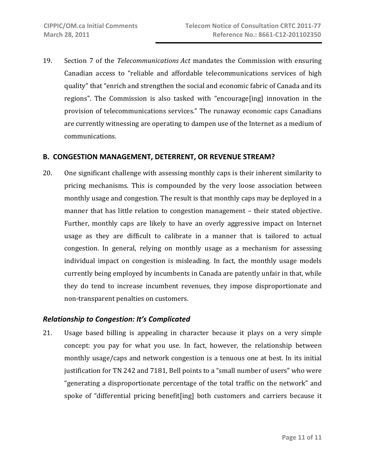19. Section 7 of the *Telecommunications Act* mandates the Commission with ensuring Canadian access to "reliable and affordable telecommunications services of high quality" that "enrich and strengthen the social and economic fabric of Canada and its regions". The Commission is also tasked with "encourage[ing] innovation in the provision of telecommunications services." The runaway economic caps Canadians are currently witnessing are operating to dampen use of the Internet as a medium of communications.

#### **B. CONGESTION MANAGEMENT, DETERRENT, OR REVENUE STREAM?**

20. One significant challenge with assessing monthly caps is their inherent similarity to pricing mechanisms. This is compounded by the very loose association between monthly usage and congestion. The result is that monthly caps may be deployed in a manner that has little relation to congestion management – their stated objective. Further, monthly caps are likely to have an overly aggressive impact on Internet usage as they are difficult to calibrate in a manner that is tailored to actual congestion. In general, relying on monthly usage as a mechanism for assessing individual impact on congestion is misleading. In fact, the monthly usage models currently being employed by incumbents in Canada are patently unfair in that, while they do tend to increase incumbent revenues, they impose disproportionate and non‐transparent penalties on customers.

#### *Relationship to Congestion: It's Complicated*

21. Usage based billing is appealing in character because it plays on a very simple concept: you pay for what you use. In fact, however, the relationship between monthly usage/caps and network congestion is a tenuous one at best. In its initial justification for TN 242 and 7181, Bell points to a "small number of users" who were "generating a disproportionate percentage of the total traffic on the network" and spoke of "differential pricing benefit[ing] both customers and carriers because it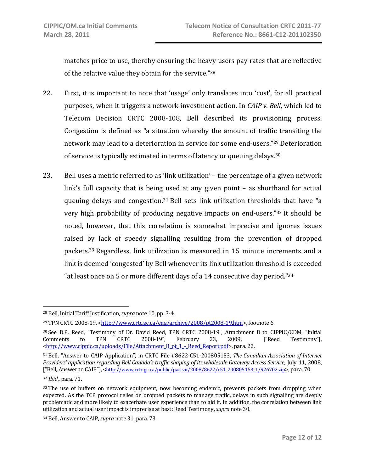matches price to use, thereby ensuring the heavy users pay rates that are reflective of the relative value they obtain for the service."28

- 22. First, it is important to note that 'usage' only translates into 'cost', for all practical purposes, when it triggers a network investment action. In *CAIP v. Bell*, which led to Telecom Decision CRTC 2008‐108, Bell described its provisioning process. Congestion is defined as "a situation whereby the amount of traffic transiting the network may lead to a deterioration in service for some end-users."<sup>29</sup> Deterioration of service is typically estimated in terms of latency or queuing delays.30
- 23. Bell uses a metric referred to as 'link utilization' the percentage of a given network link's full capacity that is being used at any given point – as shorthand for actual queuing delays and congestion.<sup>31</sup> Bell sets link utilization thresholds that have "a very high probability of producing negative impacts on end‐users."32 It should be noted, however, that this correlation is somewhat imprecise and ignores issues raised by lack of speedy signalling resulting from the prevention of dropped packets.33 Regardless, link utilization is measured in 15 minute increments and a link is deemed 'congested' by Bell whenever its link utilization threshold is exceeded "at least once on 5 or more different days of a 14 consecutive day period." $34$

 $\overline{a}$ 

<sup>28</sup> Bell, Initial Tariff Justification, *supra* note 10, pp. 3‐4.

 $^{29}$  TPN CRTC 2008-19, <http://www.crtc.gc.ca/eng/archive/2008/pt2008-19.htm>, footnote 6.

<sup>30</sup> See D.P. Reed, "Testimony of Dr. David Reed, TPN CRTC 2008‐19", Attachment B to CIPPIC/CDM, "Initial Comments to TPN CRTC 2008‐19", February 23, 2009, ["Reed Testimony"], <http://www.cippic.ca/uploads/File/Attachment\_B\_pt\_1\_‐\_Reed\_Report.pdf>, para. 22.

<sup>31</sup> Bell, "Answer to CAIP Application", in CRTC File #8622‐C51‐200805153, *The Canadian Association of Internet Providers' application regarding Bell Canada's traffic shaping of its wholesale Gateway Access Service*, July 11, 2008, ["Bell, Answer to CAIP"], <http://www.crtc.gc.ca/public/partvii/2008/8622/c51\_200805153\_1/926702.zip>, para. 70.

<sup>32</sup> *Ibid*., para. 71.

<sup>&</sup>lt;sup>33</sup> The use of buffers on network equipment, now becoming endemic, prevents packets from dropping when expected. As the TCP protocol relies on dropped packets to manage traffic, delays in such signalling are deeply problematic and more likely to exacerbate user experience than to aid it. In addition, the correlation between link utilization and actual user impact is imprecise at best: Reed Testimony, *supra* note 30.

<sup>34</sup> Bell, Answer to CAIP, *supra* note 31, para. 73.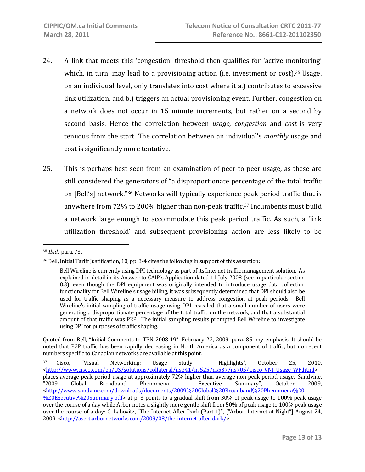- 24. A link that meets this 'congestion' threshold then qualifies for 'active monitoring' which, in turn, may lead to a provisioning action (i.e. investment or cost).<sup>35</sup> Usage, on an individual level, only translates into cost where it a.) contributes to excessive link utilization, and b.) triggers an actual provisioning event. Further, congestion on a network does not occur in 15 minute increments, but rather on a second by second basis. Hence the correlation between *usage*, *congestion* and *cost* is very tenuous from the start. The correlation between an individual's *monthly* usage and cost is significantly more tentative.
- 25. This is perhaps best seen from an examination of peer-to-peer usage, as these are still considered the generators of "a disproportionate percentage of the total traffic on [Bell's] network."36 Networks will typically experience peak period traffic that is anywhere from 72% to 200% higher than non‐peak traffic.37 Incumbents must build a network large enough to accommodate this peak period traffic. As such, a 'link utilization threshold' and subsequent provisioning action are less likely to be

Quoted from Bell, "Initial Comments to TPN 2008-19", February 23, 2009, para. 85, my emphasis. It should be noted that P2P traffic has been rapidly decreasing in North America as a component of traffic, but no recent numbers specific to Canadian networks are available at this point.

<sup>35</sup> *Ibid*., para. 73.

<sup>36</sup> Bell, Initial Tariff Justification, 10, pp. 3‐4 cites the following in support of this assertion:

Bell Wireline is currently using DPI technology as part of its Internet traffic management solution. As explained in detail in its Answer to CAIP's Application dated 11 July 2008 (see in particular section 8.3), even though the DPI equipment was originally intended to introduce usage data collection functionality for Bell Wireline's usage billing, it was subsequently determined that DPI should also be used for traffic shaping as a necessary measure to address congestion at peak periods. Bell Wireline's initial sampling of traffic usage using DPI revealed that a small number of users were generating a disproportionate percentage of the total traffic on the network, and that a substantial amount of that traffic was P2P. The initial sampling results prompted Bell Wireline to investigate using DPI for purposes of traffic shaping.

<sup>37</sup> Cisco, "Visual Networking: Usage Study – Highlights", October 25, 2010, <http://www.cisco.com/en/US/solutions/collateral/ns341/ns525/ns537/ns705/Cisco\_VNI\_Usage\_WP.html> places average peak period usage at approximately 72% higher than average non‐peak period usage. Sandvine, "2009 Global Broadband Phenomena – Executive Summary", October 2009, <http://www.sandvine.com/downloads/documents/2009%20Global%20Broadband%20Phenomena%20-%20Executive%20Summary.pdf> at p. 3 points to a gradual shift from 30% of peak usage to 100% peak usage over the course of a day while Arbor notes a slightly more gentle shift from 50% of peak usage to 100% peak usage over the course of a day: C. Labovitz, "The Internet After Dark (Part 1)", ["Arbor, Internet at Night"] August 24, 2009, <http://asert.arbornetworks.com/2009/08/the‐internet‐after‐dark/>.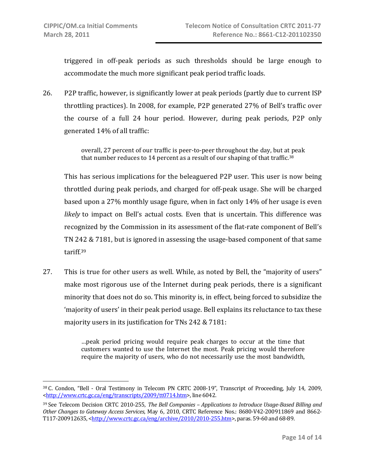triggered in off‐peak periods as such thresholds should be large enough to accommodate the much more significant peak period traffic loads.

26. P2P traffic, however, is significantly lower at peak periods (partly due to current ISP throttling practices). In 2008, for example, P2P generated 27% of Bell's traffic over the course of a full 24 hour period. However, during peak periods, P2P only generated 14% of all traffic:

> overall, 27 percent of our traffic is peer‐to‐peer throughout the day, but at peak that number reduces to 14 percent as a result of our shaping of that traffic.<sup>38</sup>

This has serious implications for the beleaguered P2P user. This user is now being throttled during peak periods, and charged for off‐peak usage. She will be charged based upon a 27% monthly usage figure, when in fact only 14% of her usage is even *likely* to impact on Bell's actual costs. Even that is uncertain. This difference was recognized by the Commission in its assessment of the flat-rate component of Bell's TN 242 & 7181, but is ignored in assessing the usage‐based component of that same tariff.39

27. This is true for other users as well. While, as noted by Bell, the "majority of users" make most rigorous use of the Internet during peak periods, there is a significant minority that does not do so. This minority is, in effect, being forced to subsidize the 'majority of users' in their peak period usage. Bell explains its reluctance to tax these majority users in its justification for TNs 242 & 7181:

> …peak period pricing would require peak charges to occur at the time that customers wanted to use the Internet the most. Peak pricing would therefore require the majority of users, who do not necessarily use the most bandwidth,

<sup>38</sup> C. Condon, "Bell ‐ Oral Testimony in Telecom PN CRTC 2008‐19", Transcript of Proceeding, July 14, 2009, <http://www.crtc.gc.ca/eng/transcripts/2009/tt0714.htm>, line 6042.

<sup>39</sup> See Telecom Decision CRTC 2010‐255, *The Bell Companies – Applications to Introduce UsageBased Billing and Other Changes to Gateway Access Services*, May 6, 2010, CRTC Reference Nos.: 8680‐V42‐200911869 and 8662‐ T117‐200912635, <http://www.crtc.gc.ca/eng/archive/2010/2010‐255.htm>, paras. 59‐60 and 68‐89.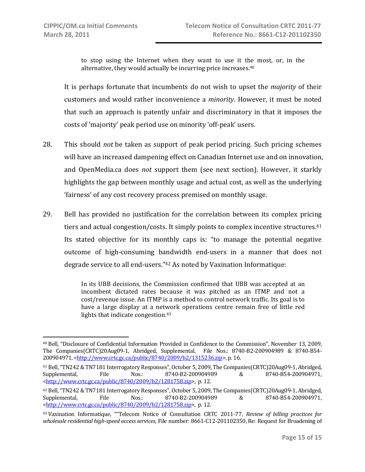to stop using the Internet when they want to use it the most, or, in the alternative, they would actually be incurring price increases.40

It is perhaps fortunate that incumbents do not wish to upset the *majority* of their customers and would rather inconvenience a *minority*. However, it must be noted that such an approach is patently unfair and discriminatory in that it imposes the costs of 'majority' peak period use on minority 'off‐peak' users.

- 28. This should *not* be taken as support of peak period pricing. Such pricing schemes will have an increased dampening effect on Canadian Internet use and on innovation, and OpenMedia.ca does not support them (see next section). However, it starkly highlights the gap between monthly usage and actual cost, as well as the underlying 'fairness' of any cost recovery process premised on monthly usage.
- 29. Bell has provided no justification for the correlation between its complex pricing tiers and actual congestion/costs. It simply points to complex incentive structures.<sup>41</sup> Its stated objective for its monthly caps is: "to manage the potential negative outcome of high‐consuming bandwidth end‐users in a manner that does not degrade service to all end‐users."42 As noted by Vaxination Informatique:

In its UBB decisions, the Commission confirmed that UBB was accepted at an incumbent dictated rates because it was pitched as an ITMP and not a cost/revenue issue. An ITMP is a method to control network traffic. Its goal is to have a large display at a network operations centre remain free of little red lights that indicate congestion.43

<sup>40</sup> Bell, "Disclosure of Confidential Information Provided in Confidence to the Commission", November 13, 2009, The Companies(CRTC)20Aug09‐1, Abridged, Supplemental, File Nos.: 8740‐B2‐200904989 & 8740‐B54‐ 200904971, <http://www.crtc.gc.ca/public/8740/2009/b2/1315236.zip>, p. 16.

<sup>41</sup> Bell, "TN242 & TN7181 Interrogatory Responses", October 5, 2009, The Companies(CRTC)20Aug09‐1, Abridged, Supplemental, File Nos.: 8740‐B2‐200904989 & 8740‐B54‐200904971, <http://www.crtc.gc.ca/public/8740/2009/b2/1281758.zip>, p. 12.

<sup>42</sup> Bell, "TN242 & TN7181 Interrogatory Responses", October 5, 2009, The Companies(CRTC)20Aug09‐1, Abridged, Supplemental, File Nos.: 8740‐B2‐200904989 & 8740‐B54‐200904971, <http://www.crtc.gc.ca/public/8740/2009/b2/1281758.zip>, p. 12.

<sup>43</sup> Vaxination Informatique, ""Telecom Notice of Consultation CRTC 2011‐77, *Review of billing practices for wholesale residential highspeed accessservices*, File number: 8661‐C12‐201102350, Re: Request for Broadening of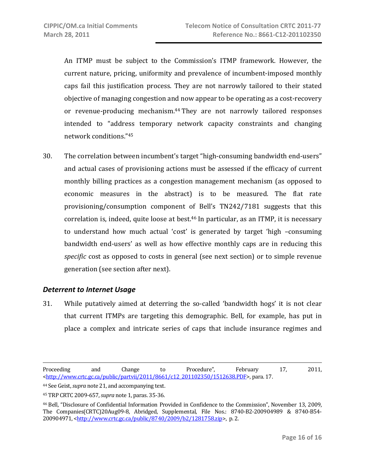An ITMP must be subject to the Commission's ITMP framework. However, the current nature, pricing, uniformity and prevalence of incumbent‐imposed monthly caps fail this justification process. They are not narrowly tailored to their stated objective of managing congestion and now appear to be operating as a cost‐recovery or revenue-producing mechanism.<sup>44</sup> They are not narrowly tailored responses intended to "address temporary network capacity constraints and changing network conditions."45

30. The correlation between incumbent's target "high‐consuming bandwidth end‐users" and actual cases of provisioning actions must be assessed if the efficacy of current monthly billing practices as a congestion management mechanism (as opposed to economic measures in the abstract) is to be measured. The flat rate provisioning/consumption component of Bell's TN242/7181 suggests that this correlation is, indeed, quite loose at best.46 In particular, as an ITMP, it is necessary to understand how much actual 'cost' is generated by target 'high –consuming bandwidth end-users' as well as how effective monthly caps are in reducing this *specific* cost as opposed to costs in general (see next section) or to simple revenue generation (see section after next).

#### *Deterrent to Internet Usage*

31. While putatively aimed at deterring the so-called 'bandwidth hogs' it is not clear that current ITMPs are targeting this demographic. Bell, for example, has put in place a complex and intricate series of caps that include insurance regimes and

 $\overline{a}$ Proceeding and Change to Procedure", February 17, 2011, <http://www.crtc.gc.ca/public/partvii/2011/8661/c12\_201102350/1512638.PDF>, para. 17.

<sup>44</sup> See Geist, *supra* note 21, and accompanying text.

<sup>45</sup> TRP CRTC 2009‐657, *supra* note 1, paras. 35‐36.

<sup>46</sup> Bell, "Disclosure of Confidential Information Provided in Confidence to the Commission", November 13, 2009, The Companies(CRTC)20Aug09‐8, Abridged, Supplemental, File Nos.: 8740‐B2‐200904989 & 8740‐B54‐ 200904971, <http://www.crtc.gc.ca/public/8740/2009/b2/1281758.zip>, p. 2.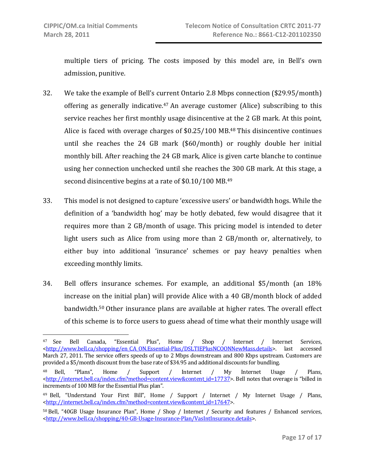multiple tiers of pricing. The costs imposed by this model are, in Bell's own admission, punitive.

- 32. We take the example of Bell's current Ontario 2.8 Mbps connection (\$29.95/month) offering as generally indicative.<sup>47</sup> An average customer  $(Alice)$  subscribing to this service reaches her first monthly usage disincentive at the 2 GB mark. At this point, Alice is faced with overage charges of \$0.25/100 MB.<sup>48</sup> This disincentive continues until she reaches the 24 GB mark (\$60/month) or roughly double her initial monthly bill. After reaching the 24 GB mark, Alice is given carte blanche to continue using her connection unchecked until she reaches the 300 GB mark. At this stage, a second disincentive begins at a rate of \$0.10/100 MB.<sup>49</sup>
- 33. This model is not designed to capture 'excessive users' or bandwidth hogs. While the definition of a 'bandwidth hog' may be hotly debated, few would disagree that it requires more than 2 GB/month of usage. This pricing model is intended to deter light users such as Alice from using more than 2 GB/month or, alternatively, to either buy into additional 'insurance' schemes or pay heavy penalties when exceeding monthly limits.
- 34. Bell offers insurance schemes. For example, an additional \$5/month (an 18% increase on the initial plan) will provide Alice with a 40 GB/month block of added bandwidth.50 Other insurance plans are available at higher rates. The overall effect of this scheme is to force users to guess ahead of time what their monthly usage will

<sup>47</sup> See Bell Canada, "Essential Plus", Home / Shop / Internet / Internet Services, <http://www.bell.ca/shopping/en\_CA\_ON.Essential‐Plus/DSLTIEPlusNCOONNewMass.details>. last accessed March 27, 2011. The service offers speeds of up to 2 Mbps downstream and 800 Kbps upstream. Customers are provided a \$5/month discount from the base rate of \$34.95 and additional discounts for bundling.

<sup>48</sup> Bell, "Plans", Home / Support / Internet / My Internet Usage / Plans, <http://internet.bell.ca/index.cfm?method=content.view&content\_id=17737>. Bell notes that overage is "billed in increments of 100 MB for the Essential Plus plan".

<sup>&</sup>lt;sup>49</sup> Bell, "Understand Your First Bill", Home / Support / Internet / My Internet Usage / Plans, <http://internet.bell.ca/index.cfm?method=content.view&content\_id=17647>.

<sup>50</sup> Bell, "40GB Usage Insurance Plan", Home / Shop / Internet / Security and features / Enhanced services, <http://www.bell.ca/shopping/40‐GB‐Usage‐Insurance‐Plan/VasIntInsurance.details>.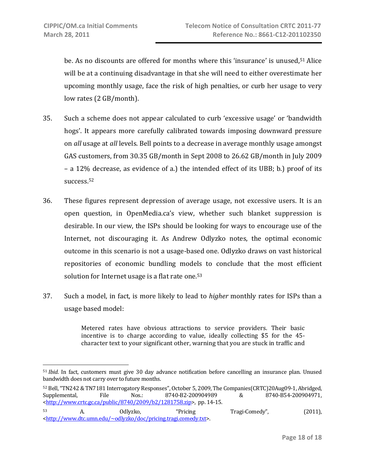be. As no discounts are offered for months where this 'insurance' is unused,<sup>51</sup> Alice will be at a continuing disadvantage in that she will need to either overestimate her upcoming monthly usage, face the risk of high penalties, or curb her usage to very low rates (2 GB/month).

- 35. Such a scheme does not appear calculated to curb 'excessive usage' or 'bandwidth hogs'. It appears more carefully calibrated towards imposing downward pressure on *all* usage at *all* levels. Bell points to a decrease in average monthly usage amongst GAS customers, from 30.35 GB/month in Sept 2008 to 26.62 GB/month in July 2009 – a 12% decrease, as evidence of a.) the intended effect of its UBB; b.) proof of its success.52
- 36. These figures represent depression of average usage, not excessive users. It is an open question, in OpenMedia.ca's view, whether such blanket suppression is desirable. In our view, the ISPs should be looking for ways to encourage use of the Internet, not discouraging it. As Andrew Odlyzko notes, the optimal economic outcome in this scenario is not a usage‐based one. Odlyzko draws on vast historical repositories of economic bundling models to conclude that the most efficient solution for Internet usage is a flat rate one.<sup>53</sup>
- 37. Such a model, in fact, is more likely to lead to *higher* monthly rates for ISPs than a usage based model:

Metered rates have obvious attractions to service providers. Their basic incentive is to charge according to value, ideally collecting \$5 for the 45– character text to your significant other, warning that you are stuck in traffic and

52 Bell, "TN242 & TN7181 Interrogatory Responses", October 5, 2009, The Companies(CRTC)20Aug09‐1, Abridged, Supplemental, File Nos.: 8740‐B2‐200904989 & 8740‐B54‐200904971, <http://www.crtc.gc.ca/public/8740/2009/b2/1281758.zip>, pp. 14‐15.

<sup>51</sup> *Ibid*. In fact, customers must give 30 day advance notification before cancelling an insurance plan. Unused bandwidth does not carry over to future months.

<sup>53</sup> A. Odlyzko, "Pricing Tragi‐Comedy", (2011), <http://www.dtc.umn.edu/~odlyzko/doc/pricing.tragi.comedy.txt>.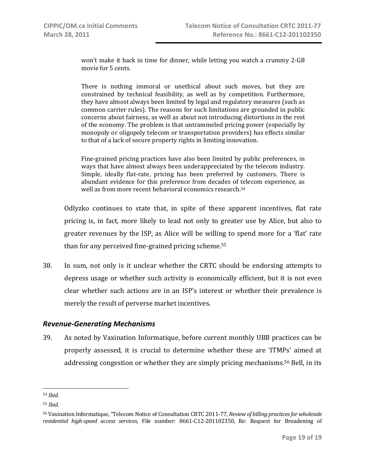won't make it back in time for dinner, while letting you watch a crummy 2‐GB movie for 5 cents.

There is nothing immoral or unethical about such moves, but they are constrained by technical feasibility, as well as by competition. Furthermore, they have almost always been limited by legal and regulatory measures (such as common carrier rules). The reasons for such limitations are grounded in public concerns about fairness, as well as about not introducing distortions in the rest of the economy. The problem is that untrammeled pricing power (especially by monopoly or oligopoly telecom or transportation providers) has effects similar to that of a lack of secure property rights in limiting innovation.

Fine‐grained pricing practices have also been limited by public preferences, in ways that have almost always been underappreciated by the telecom industry. Simple, ideally flat-rate, pricing has been preferred by customers. There is abundant evidence for this preference from decades of telecom experience, as well as from more recent behavioral economics research.54

Odlyzko continues to state that, in spite of these apparent incentives, flat rate pricing is, in fact, more likely to lead not only to greater use by Alice, but also to greater revenues by the ISP, as Alice will be willing to spend more for a 'flat' rate than for any perceived fine‐grained pricing scheme.55

38. In sum, not only is it unclear whether the CRTC should be endorsing attempts to depress usage or whether such activity is economically efficient, but it is not even clear whether such actions are in an ISP's interest or whether their prevalence is merely the result of perverse market incentives.

### *Revenue‐Generating Mechanisms*

39. As noted by Vaxination Informatique, before current monthly UBB practices can be properly assessed, it is crucial to determine whether these are 'ITMPs' aimed at addressing congestion or whether they are simply pricing mechanisms.56 Bell, in its

 $\overline{a}$ 

<sup>54</sup> *Ibid*.

<sup>55</sup> *Ibid*.

<sup>56</sup> Vaxination Informatique, "Telecom Notice of Consultation CRTC 2011‐77, *Review of billing practicesfor wholesale residential highspeed access services*, File number: 8661‐C12‐201102350, Re: Request for Broadening of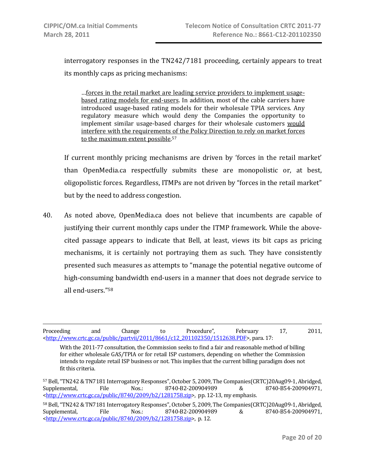1

interrogatory responses in the TN242/7181 proceeding, certainly appears to treat its monthly caps as pricing mechanisms:

…forces in the retail market are leading service providers to implement usage‐ based rating models for end‐users. In addition, most of the cable carriers have introduced usage-based rating models for their wholesale TPIA services. Any regulatory measure which would deny the Companies the opportunity to implement similar usage‐based charges for their wholesale customers would interfere with the requirements of the Policy Direction to rely on market forces to the maximum extent possible. 57

If current monthly pricing mechanisms are driven by 'forces in the retail market' than OpenMedia.ca respectfully submits these are monopolistic or, at best, oligopolistic forces. Regardless, ITMPs are not driven by "forces in the retail market" but by the need to address congestion.

40. As noted above, OpenMedia.ca does not believe that incumbents are capable of justifying their current monthly caps under the ITMP framework. While the above‐ cited passage appears to indicate that Bell, at least, views its bit caps as pricing mechanisms, it is certainly not portraying them as such. They have consistently presented such measures as attempts to "manage the potential negative outcome of high-consuming bandwidth end-users in a manner that does not degrade service to all end‐users."58

Proceeding and Change to Procedure", February 17, 2011, <http://www.crtc.gc.ca/public/partvii/2011/8661/c12\_201102350/1512638.PDF>, para. 17:

With the 2011-77 consultation, the Commission seeks to find a fair and reasonable method of billing for either wholesale GAS/TPIA or for retail ISP customers, depending on whether the Commission intends to regulate retail ISP business or not. This implies that the current billing paradigm does not fit this criteria.

<sup>57</sup> Bell, "TN242 & TN7181 Interrogatory Responses", October 5, 2009, The Companies(CRTC)20Aug09‐1, Abridged, Supplemental, File Nos.: 8740‐B2‐200904989 & 8740‐B54‐200904971, <http://www.crtc.gc.ca/public/8740/2009/b2/1281758.zip>, pp. 12-13, my emphasis.

<sup>58</sup> Bell, "TN242 & TN7181 Interrogatory Responses", October 5, 2009, The Companies(CRTC)20Aug09‐1, Abridged, Supplemental, File Nos.: 8740‐B2‐200904989 & 8740‐B54‐200904971, <http://www.crtc.gc.ca/public/8740/2009/b2/1281758.zip>, p. 12.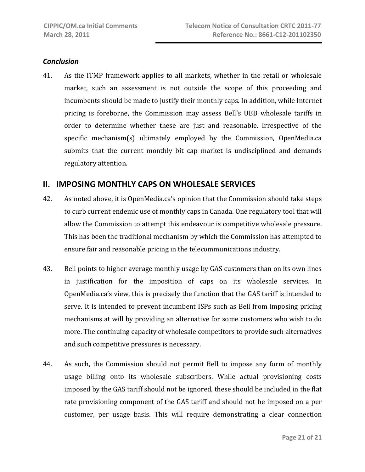#### *Conclusion*

41. As the ITMP framework applies to all markets, whether in the retail or wholesale market, such an assessment is not outside the scope of this proceeding and incumbents should be made to justify their monthly caps. In addition, while Internet pricing is foreborne, the Commission may assess Bell's UBB wholesale tariffs in order to determine whether these are just and reasonable. Irrespective of the specific mechanism(s) ultimately employed by the Commission, OpenMedia.ca submits that the current monthly bit cap market is undisciplined and demands regulatory attention.

# **II. IMPOSING MONTHLY CAPS ON WHOLESALE SERVICES**

- 42. As noted above, it is OpenMedia.ca's opinion that the Commission should take steps to curb current endemic use of monthly caps in Canada. One regulatory tool that will allow the Commission to attempt this endeavour is competitive wholesale pressure. This has been the traditional mechanism by which the Commission has attempted to ensure fair and reasonable pricing in the telecommunications industry.
- 43. Bell points to higher average monthly usage by GAS customers than on its own lines in justification for the imposition of caps on its wholesale services. In OpenMedia.ca's view, this is precisely the function that the GAS tariff is intended to serve. It is intended to prevent incumbent ISPs such as Bell from imposing pricing mechanisms at will by providing an alternative for some customers who wish to do more. The continuing capacity of wholesale competitors to provide such alternatives and such competitive pressures is necessary.
- 44. As such, the Commission should not permit Bell to impose any form of monthly usage billing onto its wholesale subscribers. While actual provisioning costs imposed by the GAS tariff should not be ignored, these should be included in the flat rate provisioning component of the GAS tariff and should not be imposed on a per customer, per usage basis. This will require demonstrating a clear connection